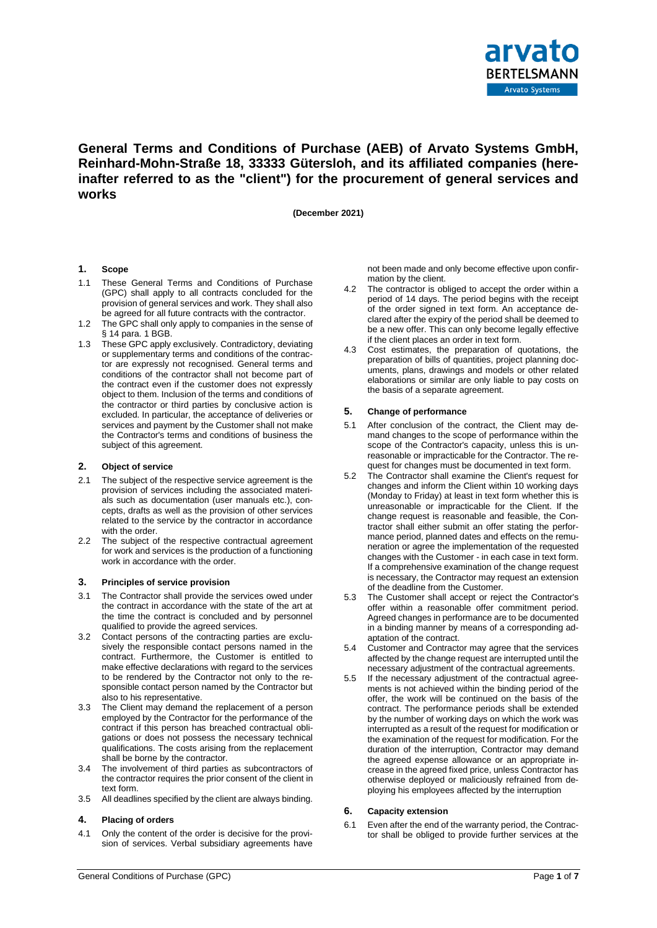

# **General Terms and Conditions of Purchase (AEB) of Arvato Systems GmbH, Reinhard-Mohn-Straße 18, 33333 Gütersloh, and its affiliated companies (hereinafter referred to as the "client") for the procurement of general services and works**

**(December 2021)**

# **1. Scope**

- 1.1 These General Terms and Conditions of Purchase (GPC) shall apply to all contracts concluded for the provision of general services and work. They shall also be agreed for all future contracts with the contractor.
- 1.2 The GPC shall only apply to companies in the sense of § 14 para. 1 BGB.
- 1.3 These GPC apply exclusively. Contradictory, deviating or supplementary terms and conditions of the contractor are expressly not recognised. General terms and conditions of the contractor shall not become part of the contract even if the customer does not expressly object to them. Inclusion of the terms and conditions of the contractor or third parties by conclusive action is excluded. In particular, the acceptance of deliveries or services and payment by the Customer shall not make the Contractor's terms and conditions of business the subject of this agreement.

#### **2. Object of service**

- 2.1 The subject of the respective service agreement is the provision of services including the associated materials such as documentation (user manuals etc.), concepts, drafts as well as the provision of other services related to the service by the contractor in accordance with the order.
- 2.2 The subject of the respective contractual agreement for work and services is the production of a functioning work in accordance with the order.

#### **3. Principles of service provision**

- 3.1 The Contractor shall provide the services owed under the contract in accordance with the state of the art at the time the contract is concluded and by personnel qualified to provide the agreed services.
- 3.2 Contact persons of the contracting parties are exclusively the responsible contact persons named in the contract. Furthermore, the Customer is entitled to make effective declarations with regard to the services to be rendered by the Contractor not only to the responsible contact person named by the Contractor but also to his representative.
- 3.3 The Client may demand the replacement of a person employed by the Contractor for the performance of the contract if this person has breached contractual obligations or does not possess the necessary technical qualifications. The costs arising from the replacement shall be borne by the contractor.
- 3.4 The involvement of third parties as subcontractors of the contractor requires the prior consent of the client in text form.
- 3.5 All deadlines specified by the client are always binding.

#### **4. Placing of orders**

4.1 Only the content of the order is decisive for the provision of services. Verbal subsidiary agreements have not been made and only become effective upon confirmation by the client.

- 4.2 The contractor is obliged to accept the order within a period of 14 days. The period begins with the receipt of the order signed in text form. An acceptance declared after the expiry of the period shall be deemed to be a new offer. This can only become legally effective if the client places an order in text form.
- 4.3 Cost estimates, the preparation of quotations, the preparation of bills of quantities, project planning documents, plans, drawings and models or other related elaborations or similar are only liable to pay costs on the basis of a separate agreement.

#### **5. Change of performance**

- 5.1 After conclusion of the contract, the Client may demand changes to the scope of performance within the scope of the Contractor's capacity, unless this is unreasonable or impracticable for the Contractor. The request for changes must be documented in text form.
- 5.2 The Contractor shall examine the Client's request for changes and inform the Client within 10 working days (Monday to Friday) at least in text form whether this is unreasonable or impracticable for the Client. If the change request is reasonable and feasible, the Contractor shall either submit an offer stating the performance period, planned dates and effects on the remuneration or agree the implementation of the requested changes with the Customer - in each case in text form. If a comprehensive examination of the change request is necessary, the Contractor may request an extension of the deadline from the Customer.
- 5.3 The Customer shall accept or reject the Contractor's offer within a reasonable offer commitment period. Agreed changes in performance are to be documented in a binding manner by means of a corresponding adaptation of the contract.
- 5.4 Customer and Contractor may agree that the services affected by the change request are interrupted until the necessary adjustment of the contractual agreements.
- 5.5 If the necessary adjustment of the contractual agreements is not achieved within the binding period of the offer, the work will be continued on the basis of the contract. The performance periods shall be extended by the number of working days on which the work was interrupted as a result of the request for modification or the examination of the request for modification. For the duration of the interruption, Contractor may demand the agreed expense allowance or an appropriate increase in the agreed fixed price, unless Contractor has otherwise deployed or maliciously refrained from deploying his employees affected by the interruption

#### **6. Capacity extension**

6.1 Even after the end of the warranty period, the Contractor shall be obliged to provide further services at the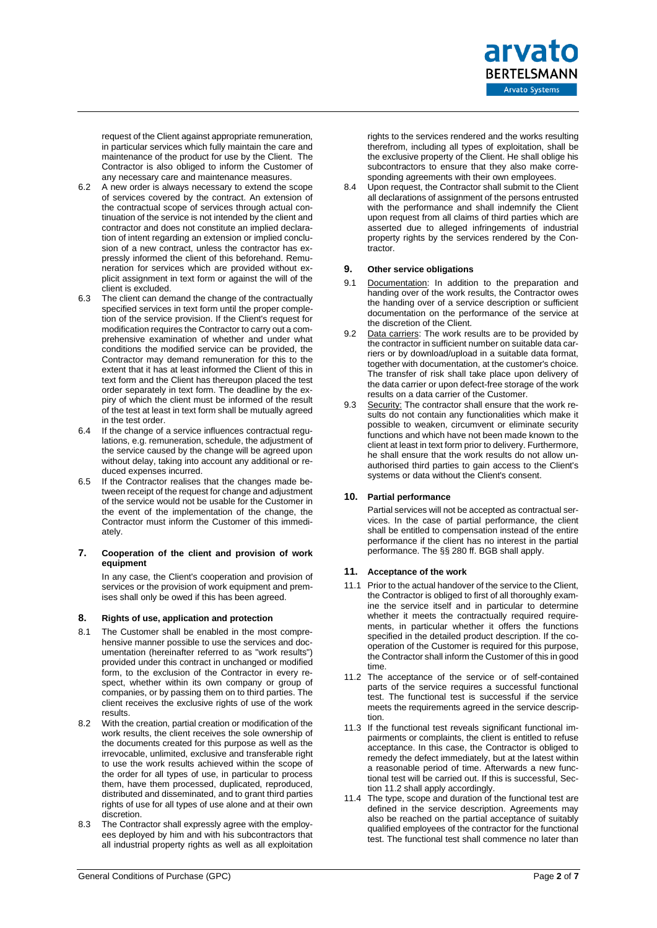request of the Client against appropriate remuneration, in particular services which fully maintain the care and maintenance of the product for use by the Client. The Contractor is also obliged to inform the Customer of any necessary care and maintenance measures.

- 6.2 A new order is always necessary to extend the scope of services covered by the contract. An extension of the contractual scope of services through actual continuation of the service is not intended by the client and contractor and does not constitute an implied declaration of intent regarding an extension or implied conclusion of a new contract, unless the contractor has expressly informed the client of this beforehand. Remuneration for services which are provided without explicit assignment in text form or against the will of the client is excluded.
- 6.3 The client can demand the change of the contractually specified services in text form until the proper completion of the service provision. If the Client's request for modification requires the Contractor to carry out a comprehensive examination of whether and under what conditions the modified service can be provided, the Contractor may demand remuneration for this to the extent that it has at least informed the Client of this in text form and the Client has thereupon placed the test order separately in text form. The deadline by the expiry of which the client must be informed of the result of the test at least in text form shall be mutually agreed in the test order.
- 6.4 If the change of a service influences contractual regulations, e.g. remuneration, schedule, the adjustment of the service caused by the change will be agreed upon without delay, taking into account any additional or reduced expenses incurred.
- 6.5 If the Contractor realises that the changes made between receipt of the request for change and adjustment of the service would not be usable for the Customer in the event of the implementation of the change, the Contractor must inform the Customer of this immediately.

#### **7. Cooperation of the client and provision of work equipment**

In any case, the Client's cooperation and provision of services or the provision of work equipment and premises shall only be owed if this has been agreed.

# **8. Rights of use, application and protection**

- 8.1 The Customer shall be enabled in the most comprehensive manner possible to use the services and documentation (hereinafter referred to as "work results") provided under this contract in unchanged or modified form, to the exclusion of the Contractor in every respect, whether within its own company or group of companies, or by passing them on to third parties. The client receives the exclusive rights of use of the work results.
- 8.2 With the creation, partial creation or modification of the work results, the client receives the sole ownership of the documents created for this purpose as well as the irrevocable, unlimited, exclusive and transferable right to use the work results achieved within the scope of the order for all types of use, in particular to process them, have them processed, duplicated, reproduced, distributed and disseminated, and to grant third parties rights of use for all types of use alone and at their own discretion.
- 8.3 The Contractor shall expressly agree with the employees deployed by him and with his subcontractors that all industrial property rights as well as all exploitation

rights to the services rendered and the works resulting therefrom, including all types of exploitation, shall be the exclusive property of the Client. He shall oblige his subcontractors to ensure that they also make corresponding agreements with their own employees.

8.4 Upon request, the Contractor shall submit to the Client all declarations of assignment of the persons entrusted with the performance and shall indemnify the Client upon request from all claims of third parties which are asserted due to alleged infringements of industrial property rights by the services rendered by the Contractor.

# **9. Other service obligations**

- 9.1 Documentation: In addition to the preparation and handing over of the work results, the Contractor owes the handing over of a service description or sufficient documentation on the performance of the service at the discretion of the Client.
- 9.2 Data carriers: The work results are to be provided by the contractor in sufficient number on suitable data carriers or by download/upload in a suitable data format, together with documentation, at the customer's choice. The transfer of risk shall take place upon delivery of the data carrier or upon defect-free storage of the work results on a data carrier of the Customer.
- 9.3 Security: The contractor shall ensure that the work results do not contain any functionalities which make it possible to weaken, circumvent or eliminate security functions and which have not been made known to the client at least in text form prior to delivery. Furthermore, he shall ensure that the work results do not allow unauthorised third parties to gain access to the Client's systems or data without the Client's consent.

# **10. Partial performance**

Partial services will not be accepted as contractual services. In the case of partial performance, the client shall be entitled to compensation instead of the entire performance if the client has no interest in the partial performance. The §§ 280 ff. BGB shall apply.

# **11. Acceptance of the work**

- 11.1 Prior to the actual handover of the service to the Client, the Contractor is obliged to first of all thoroughly examine the service itself and in particular to determine whether it meets the contractually required requirements, in particular whether it offers the functions specified in the detailed product description. If the cooperation of the Customer is required for this purpose, the Contractor shall inform the Customer of this in good time.
- 11.2 The acceptance of the service or of self-contained parts of the service requires a successful functional test. The functional test is successful if the service meets the requirements agreed in the service description.
- 11.3 If the functional test reveals significant functional impairments or complaints, the client is entitled to refuse acceptance. In this case, the Contractor is obliged to remedy the defect immediately, but at the latest within a reasonable period of time. Afterwards a new functional test will be carried out. If this is successful, Section 11.2 shall apply accordingly.
- 11.4 The type, scope and duration of the functional test are defined in the service description. Agreements may also be reached on the partial acceptance of suitably qualified employees of the contractor for the functional test. The functional test shall commence no later than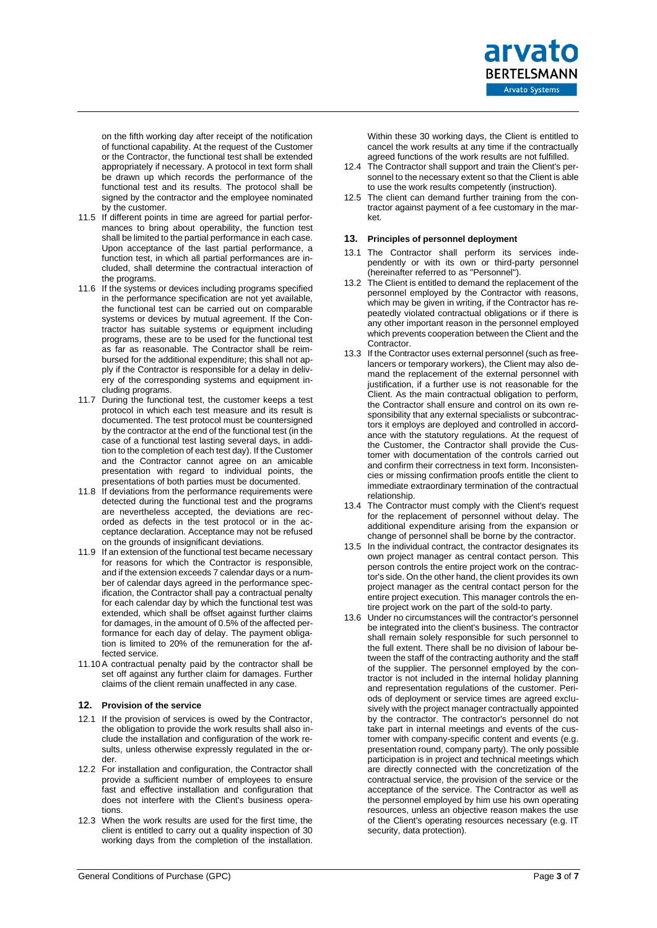on the fifth working day after receipt of the notification of functional capability. At the request of the Customer or the Contractor, the functional test shall be extended appropriately if necessary. A protocol in text form shall be drawn up which records the performance of the functional test and its results. The protocol shall be signed by the contractor and the employee nominated by the customer.

- 11.5 If different points in time are agreed for partial performances to bring about operability, the function test shall be limited to the partial performance in each case. Upon acceptance of the last partial performance, a function test, in which all partial performances are included, shall determine the contractual interaction of the programs.
- 11.6 If the systems or devices including programs specified in the performance specification are not yet available, the functional test can be carried out on comparable systems or devices by mutual agreement. If the Contractor has suitable systems or equipment including programs, these are to be used for the functional test as far as reasonable. The Contractor shall be reimbursed for the additional expenditure; this shall not apply if the Contractor is responsible for a delay in delivery of the corresponding systems and equipment including programs.
- 11.7 During the functional test, the customer keeps a test protocol in which each test measure and its result is documented. The test protocol must be countersigned by the contractor at the end of the functional test (in the case of a functional test lasting several days, in addition to the completion of each test day). If the Customer and the Contractor cannot agree on an amicable presentation with regard to individual points, the presentations of both parties must be documented.
- 11.8 If deviations from the performance requirements were detected during the functional test and the programs are nevertheless accepted, the deviations are recorded as defects in the test protocol or in the acceptance declaration. Acceptance may not be refused on the grounds of insignificant deviations.
- 11.9 If an extension of the functional test became necessary for reasons for which the Contractor is responsible, and if the extension exceeds 7 calendar days or a number of calendar days agreed in the performance specification, the Contractor shall pay a contractual penalty for each calendar day by which the functional test was extended, which shall be offset against further claims for damages, in the amount of 0.5% of the affected performance for each day of delay. The payment obligation is limited to 20% of the remuneration for the affected service.
- 11.10A contractual penalty paid by the contractor shall be set off against any further claim for damages. Further claims of the client remain unaffected in any case.

# **12. Provision of the service**

- 12.1 If the provision of services is owed by the Contractor, the obligation to provide the work results shall also include the installation and configuration of the work results, unless otherwise expressly regulated in the order.
- 12.2 For installation and configuration, the Contractor shall provide a sufficient number of employees to ensure fast and effective installation and configuration that does not interfere with the Client's business operations.
- 12.3 When the work results are used for the first time, the client is entitled to carry out a quality inspection of 30 working days from the completion of the installation.

Within these 30 working days, the Client is entitled to cancel the work results at any time if the contractually agreed functions of the work results are not fulfilled.

- 12.4 The Contractor shall support and train the Client's personnel to the necessary extent so that the Client is able to use the work results competently (instruction).
- 12.5 The client can demand further training from the contractor against payment of a fee customary in the market.

#### **13. Principles of personnel deployment**

- 13.1 The Contractor shall perform its services independently or with its own or third-party personnel (hereinafter referred to as "Personnel").
- 13.2 The Client is entitled to demand the replacement of the personnel employed by the Contractor with reasons, which may be given in writing, if the Contractor has repeatedly violated contractual obligations or if there is any other important reason in the personnel employed which prevents cooperation between the Client and the Contractor.
- 13.3 If the Contractor uses external personnel (such as freelancers or temporary workers), the Client may also demand the replacement of the external personnel with justification, if a further use is not reasonable for the Client. As the main contractual obligation to perform, the Contractor shall ensure and control on its own responsibility that any external specialists or subcontractors it employs are deployed and controlled in accordance with the statutory regulations. At the request of the Customer, the Contractor shall provide the Customer with documentation of the controls carried out and confirm their correctness in text form. Inconsistencies or missing confirmation proofs entitle the client to immediate extraordinary termination of the contractual relationship.
- 13.4 The Contractor must comply with the Client's request for the replacement of personnel without delay. The additional expenditure arising from the expansion or change of personnel shall be borne by the contractor.
- 13.5 In the individual contract, the contractor designates its own project manager as central contact person. This person controls the entire project work on the contractor's side. On the other hand, the client provides its own project manager as the central contact person for the entire project execution. This manager controls the entire project work on the part of the sold-to party.
- 13.6 Under no circumstances will the contractor's personnel be integrated into the client's business. The contractor shall remain solely responsible for such personnel to the full extent. There shall be no division of labour between the staff of the contracting authority and the staff of the supplier. The personnel employed by the contractor is not included in the internal holiday planning and representation regulations of the customer. Periods of deployment or service times are agreed exclusively with the project manager contractually appointed by the contractor. The contractor's personnel do not take part in internal meetings and events of the customer with company-specific content and events (e.g. presentation round, company party). The only possible participation is in project and technical meetings which are directly connected with the concretization of the contractual service, the provision of the service or the acceptance of the service. The Contractor as well as the personnel employed by him use his own operating resources, unless an objective reason makes the use of the Client's operating resources necessary (e.g. IT security, data protection).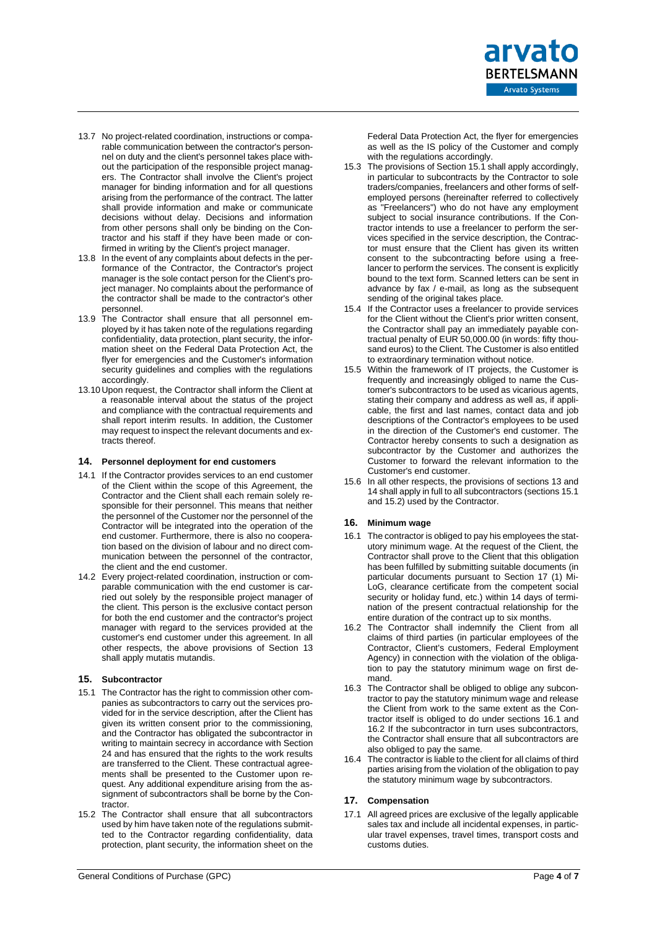- 13.7 No project-related coordination, instructions or comparable communication between the contractor's personnel on duty and the client's personnel takes place without the participation of the responsible project managers. The Contractor shall involve the Client's project manager for binding information and for all questions arising from the performance of the contract. The latter shall provide information and make or communicate decisions without delay. Decisions and information from other persons shall only be binding on the Contractor and his staff if they have been made or confirmed in writing by the Client's project manager.
- 13.8 In the event of any complaints about defects in the performance of the Contractor, the Contractor's project manager is the sole contact person for the Client's project manager. No complaints about the performance of the contractor shall be made to the contractor's other personnel.
- 13.9 The Contractor shall ensure that all personnel employed by it has taken note of the regulations regarding confidentiality, data protection, plant security, the information sheet on the Federal Data Protection Act, the flyer for emergencies and the Customer's information security guidelines and complies with the regulations accordingly.
- 13.10 Upon request, the Contractor shall inform the Client at a reasonable interval about the status of the project and compliance with the contractual requirements and shall report interim results. In addition, the Customer may request to inspect the relevant documents and extracts thereof.

# **14. Personnel deployment for end customers**

- 14.1 If the Contractor provides services to an end customer of the Client within the scope of this Agreement, the Contractor and the Client shall each remain solely responsible for their personnel. This means that neither the personnel of the Customer nor the personnel of the Contractor will be integrated into the operation of the end customer. Furthermore, there is also no cooperation based on the division of labour and no direct communication between the personnel of the contractor, the client and the end customer.
- 14.2 Every project-related coordination, instruction or comparable communication with the end customer is carried out solely by the responsible project manager of the client. This person is the exclusive contact person for both the end customer and the contractor's project manager with regard to the services provided at the customer's end customer under this agreement. In all other respects, the above provisions of Section 13 shall apply mutatis mutandis.

# **15. Subcontractor**

- 15.1 The Contractor has the right to commission other companies as subcontractors to carry out the services provided for in the service description, after the Client has given its written consent prior to the commissioning, and the Contractor has obligated the subcontractor in writing to maintain secrecy in accordance with Section 24 and has ensured that the rights to the work results are transferred to the Client. These contractual agreements shall be presented to the Customer upon request. Any additional expenditure arising from the assignment of subcontractors shall be borne by the Contractor.
- 15.2 The Contractor shall ensure that all subcontractors used by him have taken note of the regulations submitted to the Contractor regarding confidentiality, data protection, plant security, the information sheet on the

Federal Data Protection Act, the flyer for emergencies as well as the IS policy of the Customer and comply with the regulations accordingly.

- 15.3 The provisions of Section 15.1 shall apply accordingly, in particular to subcontracts by the Contractor to sole traders/companies, freelancers and other forms of selfemployed persons (hereinafter referred to collectively as "Freelancers") who do not have any employment subject to social insurance contributions. If the Contractor intends to use a freelancer to perform the services specified in the service description, the Contractor must ensure that the Client has given its written consent to the subcontracting before using a freelancer to perform the services. The consent is explicitly bound to the text form. Scanned letters can be sent in advance by fax / e-mail, as long as the subsequent sending of the original takes place.
- 15.4 If the Contractor uses a freelancer to provide services for the Client without the Client's prior written consent, the Contractor shall pay an immediately payable contractual penalty of EUR 50,000.00 (in words: fifty thousand euros) to the Client. The Customer is also entitled to extraordinary termination without notice.
- 15.5 Within the framework of IT projects, the Customer is frequently and increasingly obliged to name the Customer's subcontractors to be used as vicarious agents, stating their company and address as well as, if applicable, the first and last names, contact data and job descriptions of the Contractor's employees to be used in the direction of the Customer's end customer. The Contractor hereby consents to such a designation as subcontractor by the Customer and authorizes the Customer to forward the relevant information to the Customer's end customer.
- 15.6 In all other respects, the provisions of sections 13 and 14 shall apply in full to all subcontractors (sections 15.1 and 15.2) used by the Contractor.

# **16. Minimum wage**

- <span id="page-3-0"></span>16.1 The contractor is obliged to pay his employees the statutory minimum wage. At the request of the Client, the Contractor shall prove to the Client that this obligation has been fulfilled by submitting suitable documents (in particular documents pursuant to Section 17 (1) Mi-LoG, clearance certificate from the competent social security or holiday fund, etc.) within 14 days of termination of the present contractual relationship for the entire duration of the contract up to six months.
- <span id="page-3-1"></span>16.2 The Contractor shall indemnify the Client from all claims of third parties (in particular employees of the Contractor, Client's customers, Federal Employment Agency) in connection with the violation of the obligation to pay the statutory minimum wage on first demand.
- 16.3 The Contractor shall be obliged to oblige any subcontractor to pay the statutory minimum wage and release the Client from work to the same extent as the Contractor itself is obliged to do under sections [16.1](#page-3-0) and [16.2](#page-3-1) If the subcontractor in turn uses subcontractors, the Contractor shall ensure that all subcontractors are also obliged to pay the same.
- 16.4 The contractor is liable to the client for all claims of third parties arising from the violation of the obligation to pay the statutory minimum wage by subcontractors.

# **17. Compensation**

17.1 All agreed prices are exclusive of the legally applicable sales tax and include all incidental expenses, in particular travel expenses, travel times, transport costs and customs duties.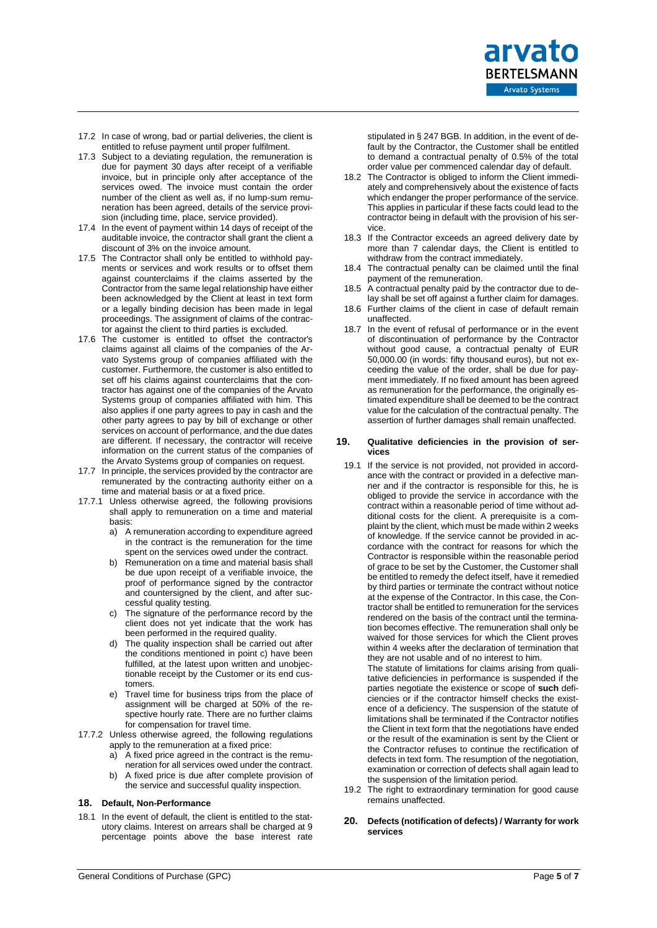

- 17.2 In case of wrong, bad or partial deliveries, the client is entitled to refuse payment until proper fulfilment.
- 17.3 Subject to a deviating regulation, the remuneration is due for payment 30 days after receipt of a verifiable invoice, but in principle only after acceptance of the services owed. The invoice must contain the order number of the client as well as, if no lump-sum remuneration has been agreed, details of the service provision (including time, place, service provided).
- 17.4 In the event of payment within 14 days of receipt of the auditable invoice, the contractor shall grant the client a discount of 3% on the invoice amount.
- 17.5 The Contractor shall only be entitled to withhold payments or services and work results or to offset them against counterclaims if the claims asserted by the Contractor from the same legal relationship have either been acknowledged by the Client at least in text form or a legally binding decision has been made in legal proceedings. The assignment of claims of the contractor against the client to third parties is excluded.
- 17.6 The customer is entitled to offset the contractor's claims against all claims of the companies of the Arvato Systems group of companies affiliated with the customer. Furthermore, the customer is also entitled to set off his claims against counterclaims that the contractor has against one of the companies of the Arvato Systems group of companies affiliated with him. This also applies if one party agrees to pay in cash and the other party agrees to pay by bill of exchange or other services on account of performance, and the due dates are different. If necessary, the contractor will receive information on the current status of the companies of the Arvato Systems group of companies on request.
- 17.7 In principle, the services provided by the contractor are remunerated by the contracting authority either on a time and material basis or at a fixed price.
- 17.7.1 Unless otherwise agreed, the following provisions shall apply to remuneration on a time and material basis:
	- a) A remuneration according to expenditure agreed in the contract is the remuneration for the time spent on the services owed under the contract.
	- b) Remuneration on a time and material basis shall be due upon receipt of a verifiable invoice, the proof of performance signed by the contractor and countersigned by the client, and after successful quality testing.
	- c) The signature of the performance record by the client does not yet indicate that the work has been performed in the required quality.
	- d) The quality inspection shall be carried out after the conditions mentioned in point c) have been fulfilled, at the latest upon written and unobjectionable receipt by the Customer or its end customers.
	- e) Travel time for business trips from the place of assignment will be charged at 50% of the respective hourly rate. There are no further claims for compensation for travel time.
- 17.7.2 Unless otherwise agreed, the following regulations apply to the remuneration at a fixed price:
	- a) A fixed price agreed in the contract is the remuneration for all services owed under the contract.
	- b) A fixed price is due after complete provision of the service and successful quality inspection.

# **18. Default, Non-Performance**

18.1 In the event of default, the client is entitled to the statutory claims. Interest on arrears shall be charged at 9 percentage points above the base interest rate stipulated in § 247 BGB. In addition, in the event of default by the Contractor, the Customer shall be entitled to demand a contractual penalty of 0.5% of the total order value per commenced calendar day of default.

- 18.2 The Contractor is obliged to inform the Client immediately and comprehensively about the existence of facts which endanger the proper performance of the service. This applies in particular if these facts could lead to the contractor being in default with the provision of his service.
- 18.3 If the Contractor exceeds an agreed delivery date by more than 7 calendar days, the Client is entitled to withdraw from the contract immediately.
- 18.4 The contractual penalty can be claimed until the final payment of the remuneration.
- 18.5 A contractual penalty paid by the contractor due to delay shall be set off against a further claim for damages.
- 18.6 Further claims of the client in case of default remain unaffected.
- 18.7 In the event of refusal of performance or in the event of discontinuation of performance by the Contractor without good cause, a contractual penalty of EUR 50,000.00 (in words: fifty thousand euros), but not exceeding the value of the order, shall be due for payment immediately. If no fixed amount has been agreed as remuneration for the performance, the originally estimated expenditure shall be deemed to be the contract value for the calculation of the contractual penalty. The assertion of further damages shall remain unaffected.

#### **19. Qualitative deficiencies in the provision of services**

19.1 If the service is not provided, not provided in accordance with the contract or provided in a defective manner and if the contractor is responsible for this, he is obliged to provide the service in accordance with the contract within a reasonable period of time without additional costs for the client. A prerequisite is a complaint by the client, which must be made within 2 weeks of knowledge. If the service cannot be provided in accordance with the contract for reasons for which the Contractor is responsible within the reasonable period of grace to be set by the Customer, the Customer shall be entitled to remedy the defect itself, have it remedied by third parties or terminate the contract without notice at the expense of the Contractor. In this case, the Contractor shall be entitled to remuneration for the services rendered on the basis of the contract until the termination becomes effective. The remuneration shall only be waived for those services for which the Client proves within 4 weeks after the declaration of termination that they are not usable and of no interest to him.

The statute of limitations for claims arising from qualitative deficiencies in performance is suspended if the parties negotiate the existence or scope of **such** deficiencies or if the contractor himself checks the existence of a deficiency. The suspension of the statute of limitations shall be terminated if the Contractor notifies the Client in text form that the negotiations have ended or the result of the examination is sent by the Client or the Contractor refuses to continue the rectification of defects in text form. The resumption of the negotiation, examination or correction of defects shall again lead to the suspension of the limitation period.

- 19.2 The right to extraordinary termination for good cause remains unaffected.
- **20. Defects (notification of defects) / Warranty for work services**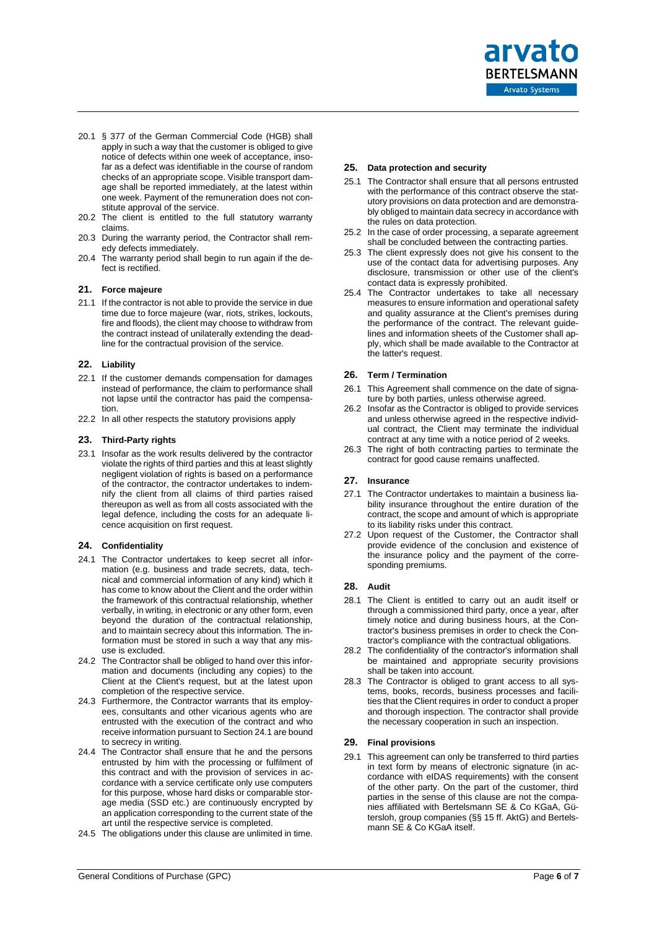arvato **BERTELSMANN Arvato Systems** 

- 20.1 § 377 of the German Commercial Code (HGB) shall apply in such a way that the customer is obliged to give notice of defects within one week of acceptance, insofar as a defect was identifiable in the course of random checks of an appropriate scope. Visible transport damage shall be reported immediately, at the latest within one week. Payment of the remuneration does not constitute approval of the service.
- 20.2 The client is entitled to the full statutory warranty claims.
- 20.3 During the warranty period, the Contractor shall remedy defects immediately.
- 20.4 The warranty period shall begin to run again if the defect is rectified.

#### **21. Force majeure**

21.1 If the contractor is not able to provide the service in due time due to force majeure (war, riots, strikes, lockouts, fire and floods), the client may choose to withdraw from the contract instead of unilaterally extending the deadline for the contractual provision of the service.

#### **22. Liability**

- 22.1 If the customer demands compensation for damages instead of performance, the claim to performance shall not lapse until the contractor has paid the compensation.
- 22.2 In all other respects the statutory provisions apply

#### **23. Third-Party rights**

23.1 Insofar as the work results delivered by the contractor violate the rights of third parties and this at least slightly negligent violation of rights is based on a performance of the contractor, the contractor undertakes to indemnify the client from all claims of third parties raised thereupon as well as from all costs associated with the legal defence, including the costs for an adequate licence acquisition on first request.

# **24. Confidentiality**

- 24.1 The Contractor undertakes to keep secret all information (e.g. business and trade secrets, data, technical and commercial information of any kind) which it has come to know about the Client and the order within the framework of this contractual relationship, whether verbally, in writing, in electronic or any other form, even beyond the duration of the contractual relationship, and to maintain secrecy about this information. The information must be stored in such a way that any misuse is excluded.
- 24.2 The Contractor shall be obliged to hand over this information and documents (including any copies) to the Client at the Client's request, but at the latest upon completion of the respective service.
- 24.3 Furthermore, the Contractor warrants that its employees, consultants and other vicarious agents who are entrusted with the execution of the contract and who receive information pursuant to Section 24.1 are bound to secrecy in writing.
- 24.4 The Contractor shall ensure that he and the persons entrusted by him with the processing or fulfilment of this contract and with the provision of services in accordance with a service certificate only use computers for this purpose, whose hard disks or comparable storage media (SSD etc.) are continuously encrypted by an application corresponding to the current state of the art until the respective service is completed.
- 24.5 The obligations under this clause are unlimited in time.

#### **25. Data protection and security**

- 25.1 The Contractor shall ensure that all persons entrusted with the performance of this contract observe the statutory provisions on data protection and are demonstrably obliged to maintain data secrecy in accordance with the rules on data protection.
- 25.2 In the case of order processing, a separate agreement shall be concluded between the contracting parties.
- 25.3 The client expressly does not give his consent to the use of the contact data for advertising purposes. Any disclosure, transmission or other use of the client's contact data is expressly prohibited.
- 25.4 The Contractor undertakes to take all necessary measures to ensure information and operational safety and quality assurance at the Client's premises during the performance of the contract. The relevant guidelines and information sheets of the Customer shall apply, which shall be made available to the Contractor at the latter's request.

#### **26. Term / Termination**

- 26.1 This Agreement shall commence on the date of signature by both parties, unless otherwise agreed.
- 26.2 Insofar as the Contractor is obliged to provide services and unless otherwise agreed in the respective individual contract, the Client may terminate the individual contract at any time with a notice period of 2 weeks.
- 26.3 The right of both contracting parties to terminate the contract for good cause remains unaffected.

# **27. Insurance**

- 27.1 The Contractor undertakes to maintain a business liability insurance throughout the entire duration of the contract, the scope and amount of which is appropriate to its liability risks under this contract.
- 27.2 Upon request of the Customer, the Contractor shall provide evidence of the conclusion and existence of the insurance policy and the payment of the corresponding premiums.

#### **28. Audit**

- 28.1 The Client is entitled to carry out an audit itself or through a commissioned third party, once a year, after timely notice and during business hours, at the Contractor's business premises in order to check the Contractor's compliance with the contractual obligations.
- 28.2 The confidentiality of the contractor's information shall be maintained and appropriate security provisions shall be taken into account.
- 28.3 The Contractor is obliged to grant access to all systems, books, records, business processes and facilities that the Client requires in order to conduct a proper and thorough inspection. The contractor shall provide the necessary cooperation in such an inspection.

# **29. Final provisions**

29.1 This agreement can only be transferred to third parties in text form by means of electronic signature (in accordance with eIDAS requirements) with the consent of the other party. On the part of the customer, third parties in the sense of this clause are not the companies affiliated with Bertelsmann SE & Co KGaA, Gütersloh, group companies (§§ 15 ff. AktG) and Bertelsmann SE & Co KGaA itself.